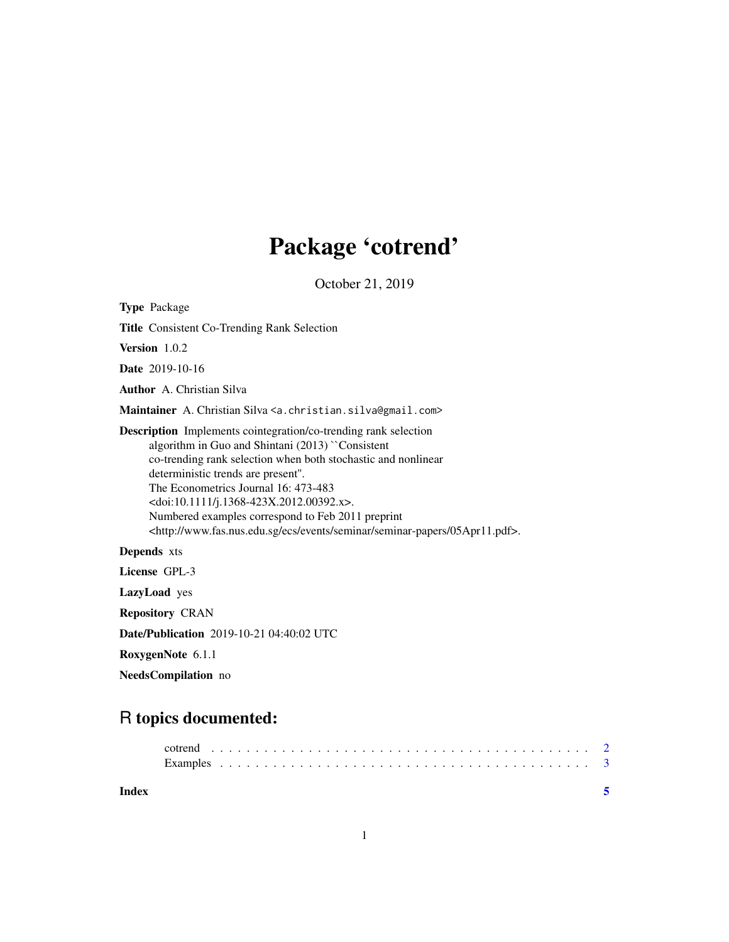# Package 'cotrend'

October 21, 2019

Type Package Title Consistent Co-Trending Rank Selection Version 1.0.2 Date 2019-10-16 Author A. Christian Silva Maintainer A. Christian Silva <a. christian.silva@gmail.com> Description Implements cointegration/co-trending rank selection algorithm in Guo and Shintani (2013) ``Consistent co-trending rank selection when both stochastic and nonlinear deterministic trends are present''. The Econometrics Journal 16: 473-483 <doi:10.1111/j.1368-423X.2012.00392.x>. Numbered examples correspond to Feb 2011 preprint <http://www.fas.nus.edu.sg/ecs/events/seminar/seminar-papers/05Apr11.pdf>. Depends xts License GPL-3 LazyLoad yes Repository CRAN

Date/Publication 2019-10-21 04:40:02 UTC

RoxygenNote 6.1.1

NeedsCompilation no

## R topics documented:

| Index |  |  |  |  |  |
|-------|--|--|--|--|--|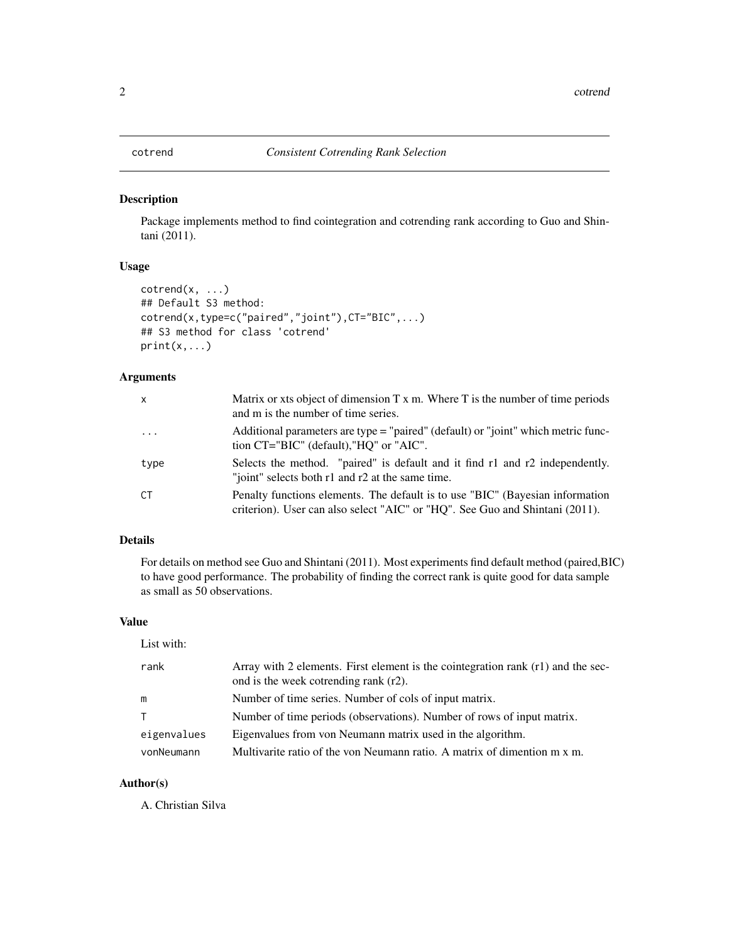#### <span id="page-1-0"></span>Description

Package implements method to find cointegration and cotrending rank according to Guo and Shintani (2011).

#### Usage

```
cotrend(x, \ldots)## Default S3 method:
cotrend(x,type=c("paired","joint"),CT="BIC",...)
## S3 method for class 'cotrend'
print(x,...)
```
#### Arguments

| $\mathsf{x}$ | Matrix or xts object of dimension $T x$ m. Where $T$ is the number of time periods<br>and m is the number of time series.                                     |
|--------------|---------------------------------------------------------------------------------------------------------------------------------------------------------------|
| $\cdots$     | Additional parameters are type = "paired" (default) or "joint" which metric func-<br>tion CT="BIC" (default), "HO" or "AIC".                                  |
| type         | Selects the method. "paired" is default and it find r1 and r2 independently.<br>"joint" selects both r1 and r2 at the same time.                              |
| <b>CT</b>    | Penalty functions elements. The default is to use "BIC" (Bayesian information<br>criterion). User can also select "AIC" or "HQ". See Guo and Shintani (2011). |

#### Details

For details on method see Guo and Shintani (2011). Most experiments find default method (paired,BIC) to have good performance. The probability of finding the correct rank is quite good for data sample as small as 50 observations.

#### Value

| List with:  |                                                                                                                             |
|-------------|-----------------------------------------------------------------------------------------------------------------------------|
| rank        | Array with 2 elements. First element is the cointegration rank $(r1)$ and the sec-<br>ond is the week cotrending rank (r2). |
| m           | Number of time series. Number of cols of input matrix.                                                                      |
| T.          | Number of time periods (observations). Number of rows of input matrix.                                                      |
| eigenvalues | Eigenvalues from von Neumann matrix used in the algorithm.                                                                  |
| vonNeumann  | Multivarite ratio of the von Neumann ratio. A matrix of dimention $m \times m$ .                                            |

#### Author(s)

A. Christian Silva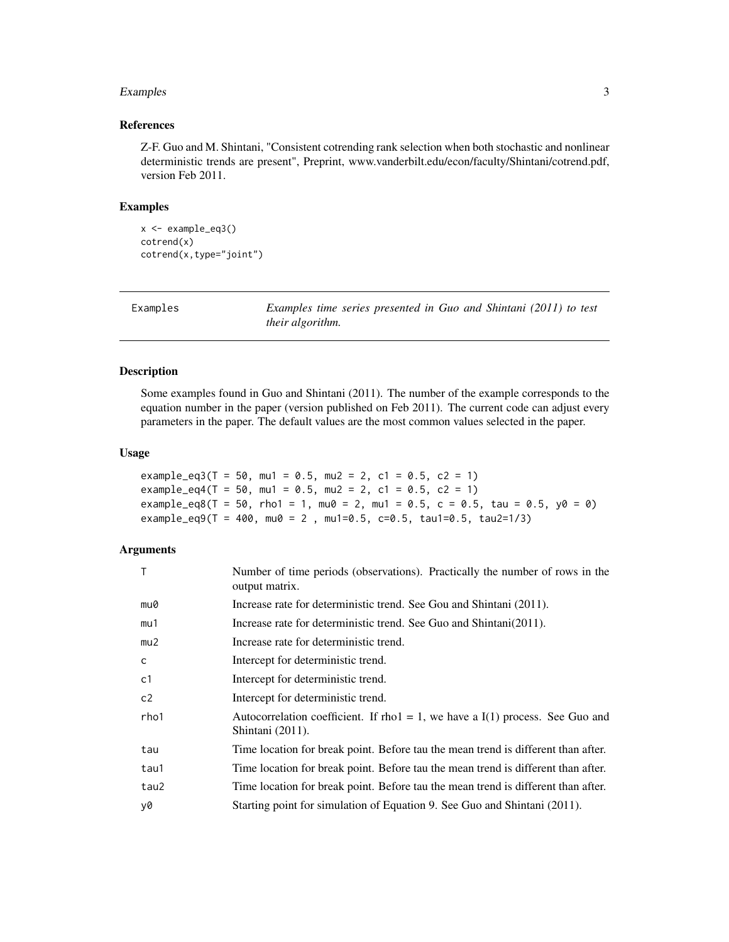#### <span id="page-2-0"></span>Examples 3

#### References

Z-F. Guo and M. Shintani, "Consistent cotrending rank selection when both stochastic and nonlinear deterministic trends are present", Preprint, www.vanderbilt.edu/econ/faculty/Shintani/cotrend.pdf, version Feb 2011.

#### Examples

```
x <- example_eq3()
cotrend(x)
cotrend(x,type="joint")
```

| Examples |  |
|----------|--|
|----------|--|

Examples *Examples time series presented in Guo and Shintani (2011) to test their algorithm.*

#### Description

Some examples found in Guo and Shintani (2011). The number of the example corresponds to the equation number in the paper (version published on Feb 2011). The current code can adjust every parameters in the paper. The default values are the most common values selected in the paper.

#### Usage

```
example_eq3(T = 50, mu1 = 0.5, mu2 = 2, c1 = 0.5, c2 = 1)
example_eq4(T = 50, mu1 = 0.5, mu2 = 2, c1 = 0.5, c2 = 1)
example_eq8(T = 50, rho1 = 1, mu0 = 2, mu1 = 0.5, c = 0.5, tau = 0.5, y0 = 0)
example_eq9(T = 400, mu0 = 2, mu1=0.5, c=0.5, tau1=0.5, tau2=1/3)
```
### Arguments

| T              | Number of time periods (observations). Practically the number of rows in the<br>output matrix.        |
|----------------|-------------------------------------------------------------------------------------------------------|
| mu0            | Increase rate for deterministic trend. See Gou and Shintani (2011).                                   |
| mu1            | Increase rate for deterministic trend. See Guo and Shintani(2011).                                    |
| mu2            | Increase rate for deterministic trend.                                                                |
| C              | Intercept for deterministic trend.                                                                    |
| c <sub>1</sub> | Intercept for deterministic trend.                                                                    |
| c <sub>2</sub> | Intercept for deterministic trend.                                                                    |
| rho1           | Autocorrelation coefficient. If rho $1 = 1$ , we have a I(1) process. See Guo and<br>Shintani (2011). |
| tau            | Time location for break point. Before tau the mean trend is different than after.                     |
| tau1           | Time location for break point. Before tau the mean trend is different than after.                     |
| tau2           | Time location for break point. Before tau the mean trend is different than after.                     |
| y0             | Starting point for simulation of Equation 9. See Guo and Shintani (2011).                             |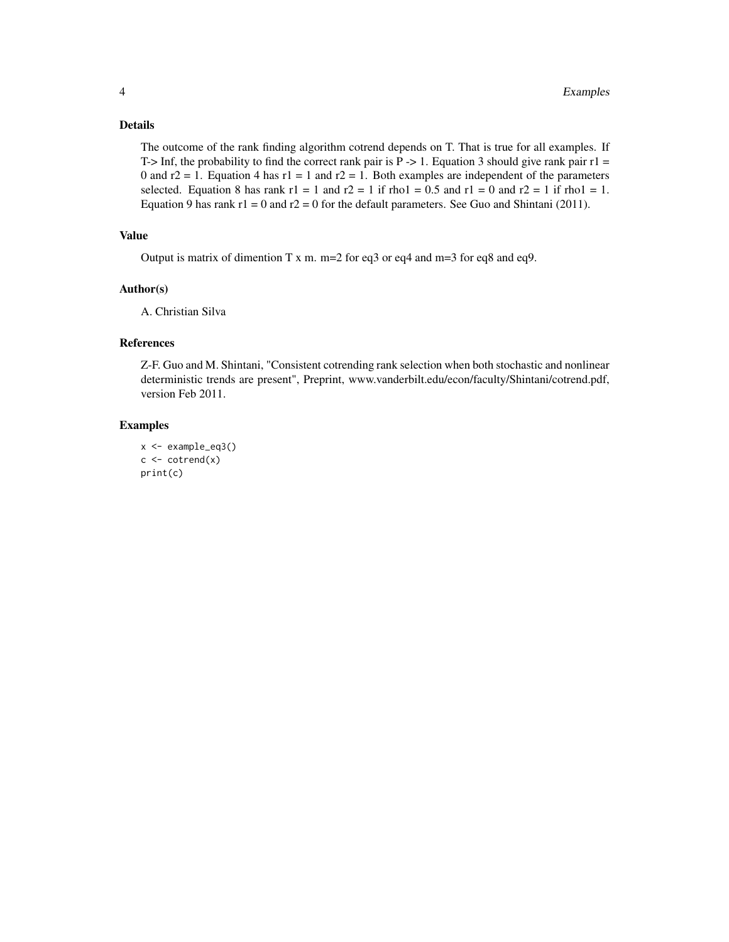#### Details

The outcome of the rank finding algorithm cotrend depends on T. That is true for all examples. If T-> Inf, the probability to find the correct rank pair is  $P \rightarrow 1$ . Equation 3 should give rank pair  $r1 =$ 0 and  $r2 = 1$ . Equation 4 has  $r1 = 1$  and  $r2 = 1$ . Both examples are independent of the parameters selected. Equation 8 has rank  $r1 = 1$  and  $r2 = 1$  if rho1 = 0.5 and  $r1 = 0$  and  $r2 = 1$  if rho1 = 1. Equation 9 has rank  $r1 = 0$  and  $r2 = 0$  for the default parameters. See Guo and Shintani (2011).

### Value

Output is matrix of dimention T x m.  $m=2$  for eq3 or eq4 and  $m=3$  for eq8 and eq9.

#### Author(s)

A. Christian Silva

### References

Z-F. Guo and M. Shintani, "Consistent cotrending rank selection when both stochastic and nonlinear deterministic trends are present", Preprint, www.vanderbilt.edu/econ/faculty/Shintani/cotrend.pdf, version Feb 2011.

#### Examples

```
x <- example_eq3()
c \leftarrow \text{cotrend}(x)print(c)
```